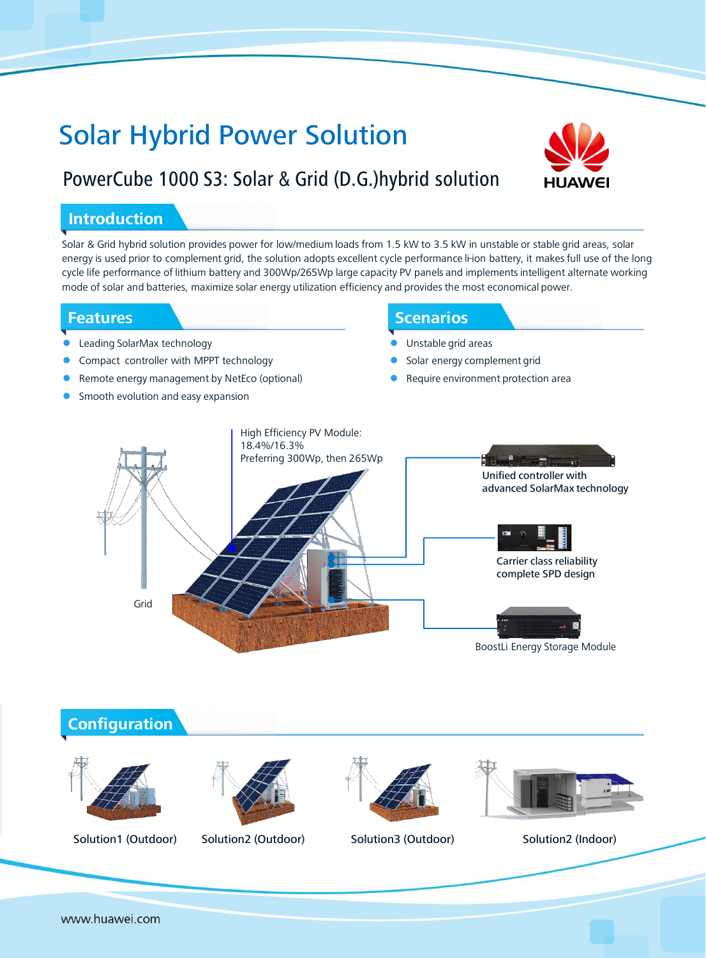# Solar Hybrid Power Solution



## PowerCube 1000 S3: Solar & Grid (D.G.)hybrid solution

#### **Introduction**

Solar & Grid hybrid solution provides power for low/medium loads from 1.5 kW to 3.5 kW in unstable or stable grid areas, solar energy is used prior to complement grid, the solution adopts excellent cycle performance li-ion battery, it makes full use of the long cycle life performance of lithium battery and 300Wp/265Wp large capacity PV panels and implements intelligent alternate working mode of solar and batteries, maximize solar energy utilization efficiency and provides the most economical power.

#### **Features**

- Leading SolarMax technology
- Compact controller with MPPT technology
- Remote energy management by NetEco (optional)
- Smooth evolution and easy expansion

### Scenarios **Scenarios**

- Unstable grid areas
- Solar energy complement grid
- Require environment protection area





www.huawei.com